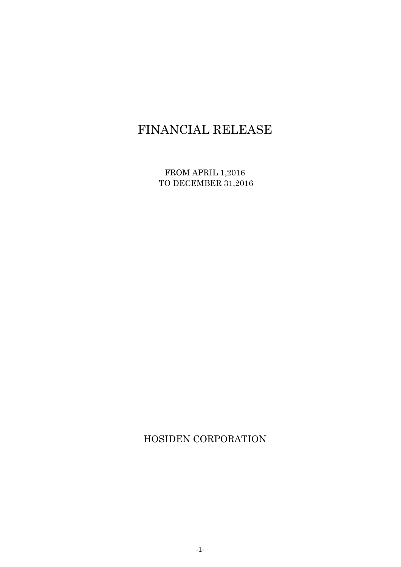# FINANCIAL RELEASE

FROM APRIL 1,2016 TO DECEMBER 31,2016

HOSIDEN CORPORATION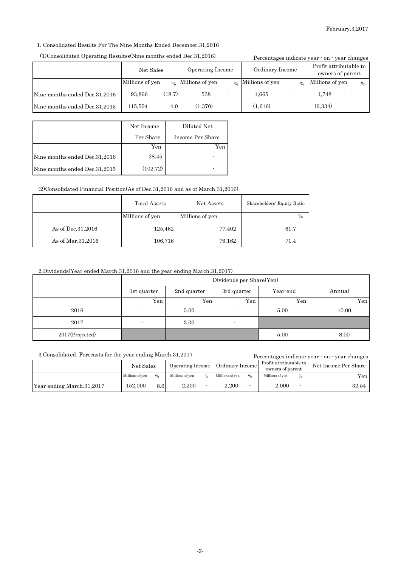1. Consolidated Results For The Nine Months Ended December.31,2016

#### (1)Consolidated Operating Resultss(Nine months ended Dec.31,2016)

| (1)Consolidated Operating Resultss(Nine months ended Dec.31,2016) |                 |        |                               |  |                   |  | Percentages indicate year · on · year changes |      |
|-------------------------------------------------------------------|-----------------|--------|-------------------------------|--|-------------------|--|-----------------------------------------------|------|
|                                                                   | Net Sales       |        | Operating Income              |  | Ordinary Income   |  | Profit attributable to<br>owners of parent    |      |
|                                                                   | Millions of yen |        | $\frac{1}{2}$ Millions of yen |  | % Millions of yen |  | $\frac{6}{6}$ Millions of yen                 | $\%$ |
| Nine months ended Dec.31,2016                                     | 93,866          | (18.7) | 538                           |  | 1.665             |  | 1.748                                         |      |
| Nine months ended Dec.31,2015                                     | 115,504         | 4.0    | (1,370)                       |  | (1.616)           |  | (6, 334)                                      |      |

|                               | Net Income | Diluted Net      |
|-------------------------------|------------|------------------|
|                               | Per Share  | Income Per Share |
|                               | Yen        | Yen              |
| Nine months ended Dec.31,2016 | 28.45      |                  |
| Nine months ended Dec.31,2015 | (102.72)   |                  |

(2)Consolidated Financial Position(As of Dec.31,2016 and as of March.31,2016)

|                     | Total Assets    | Net Assets      | Shareholders' Equity Ratio |
|---------------------|-----------------|-----------------|----------------------------|
|                     | Millions of yen | Millions of yen | $\%$                       |
| As of Dec. 31, 2016 | 125,462         | 77,402          | 61.7                       |
| As of Mar. 31, 2016 | 106,716         | 76,162          | 71.4                       |

### 2.Dividends(Year ended March.31,2016 and the year ending March.31,2017)

|                 | Dividends per Share(Yen) |             |                          |          |        |
|-----------------|--------------------------|-------------|--------------------------|----------|--------|
|                 | 1st quarter              | 2nd quarter | 3rd quarter              | Year-end | Annual |
|                 | Yen                      | Yen.        | Yen                      | Yen.     | Yen    |
| 2016            | $\overline{\phantom{a}}$ | 5.00        |                          | 5.00     | 10.00  |
| 2017            | ۰                        | 3.00        | $\overline{\phantom{a}}$ |          |        |
| 2017(Projected) |                          |             |                          | 5.00     | 8.00   |

3.Consolidated Forecasts for the year ending March.31,2017

Percentages indicate year - on - year changes

|                           | Net Sales       |      | Operating Income |               | Ordinary Income |               | Profit attributable to $\blacksquare$<br>owners of parent |               | Net Income Per Share |
|---------------------------|-----------------|------|------------------|---------------|-----------------|---------------|-----------------------------------------------------------|---------------|----------------------|
|                           | Millions of ven | 0/2  | Millions of ven  | $\frac{0}{0}$ | Millions of yen | $\frac{0}{0}$ | Millions of yen                                           | $\frac{0}{0}$ | Yen <sub>1</sub>     |
| Year ending March.31,2017 | 152.000         | 8.6I | 2.200            |               | 2.200           |               | 2.000                                                     |               | 32.54                |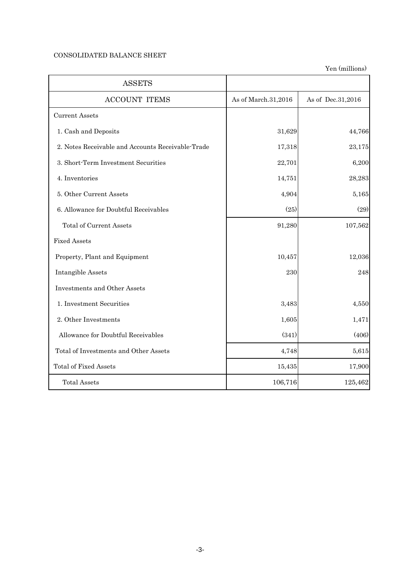# CONSOLIDATED BALANCE SHEET

| <b>ASSETS</b>                                     |                     |                   |
|---------------------------------------------------|---------------------|-------------------|
| <b>ACCOUNT ITEMS</b>                              | As of March.31,2016 | As of Dec.31,2016 |
| <b>Current Assets</b>                             |                     |                   |
| 1. Cash and Deposits                              | 31,629              | 44,766            |
| 2. Notes Receivable and Accounts Receivable-Trade | 17,318              | 23,175            |
| 3. Short-Term Investment Securities               | 22,701              | 6,200             |
| 4. Inventories                                    | 14,751              | 28,283            |
| 5. Other Current Assets                           | 4,904               | 5,165             |
| 6. Allowance for Doubtful Receivables             | (25)                | (29)              |
| <b>Total of Current Assets</b>                    | 91,280              | 107,562           |
| <b>Fixed Assets</b>                               |                     |                   |
| Property, Plant and Equipment                     | 10,457              | 12,036            |
| Intangible Assets                                 | 230                 | 248               |
| Investments and Other Assets                      |                     |                   |
| 1. Investment Securities                          | 3,483               | 4,550             |
| 2. Other Investments                              | 1,605               | 1,471             |
| Allowance for Doubtful Receivables                | (341)               | (406)             |
| Total of Investments and Other Assets             | 4,748               | 5,615             |
| <b>Total of Fixed Assets</b>                      | 15,435              | 17,900            |
| <b>Total Assets</b>                               | 106,716             | 125,462           |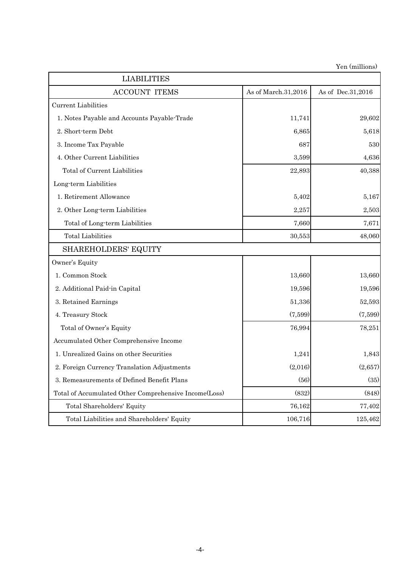| <b>LIABILITIES</b>                                    |                     |                   |
|-------------------------------------------------------|---------------------|-------------------|
| <b>ACCOUNT ITEMS</b>                                  | As of March.31,2016 | As of Dec.31,2016 |
| <b>Current Liabilities</b>                            |                     |                   |
| 1. Notes Payable and Accounts Payable-Trade           | 11,741              | 29,602            |
| 2. Short-term Debt                                    | 6,865               | 5,618             |
| 3. Income Tax Payable                                 | 687                 | 530               |
| 4. Other Current Liabilities                          | 3,599               | 4,636             |
| Total of Current Liabilities                          | 22,893              | 40,388            |
| Long-term Liabilities                                 |                     |                   |
| 1. Retirement Allowance                               | 5,402               | 5,167             |
| 2. Other Long-term Liabilities                        | 2,257               | 2,503             |
| Total of Long-term Liabilities                        | 7,660               | 7,671             |
| <b>Total Liabilities</b>                              | 30,553              | 48,060            |
| <b>SHAREHOLDERS' EQUITY</b>                           |                     |                   |
| Owner's Equity                                        |                     |                   |
| 1. Common Stock                                       | 13,660              | 13,660            |
| 2. Additional Paid-in Capital                         | 19,596              | 19,596            |
| 3. Retained Earnings                                  | 51,336              | 52,593            |
| 4. Treasury Stock                                     | (7,599)             | (7,599)           |
| Total of Owner's Equity                               | 76,994              | 78,251            |
| Accumulated Other Comprehensive Income                |                     |                   |
| 1. Unrealized Gains on other Securities               | 1,241               | 1,843             |
| 2. Foreign Currency Translation Adjustments           | (2,016)             | (2,657)           |
| 3. Remeasurements of Defined Benefit Plans            | (56)                | (35)              |
| Total of Accumulated Other Comprehensive Income(Loss) | (832)               | (848)             |
| Total Shareholders' Equity                            | 76,162              | 77,402            |
| Total Liabilities and Shareholders' Equity            | 106,716             | 125,462           |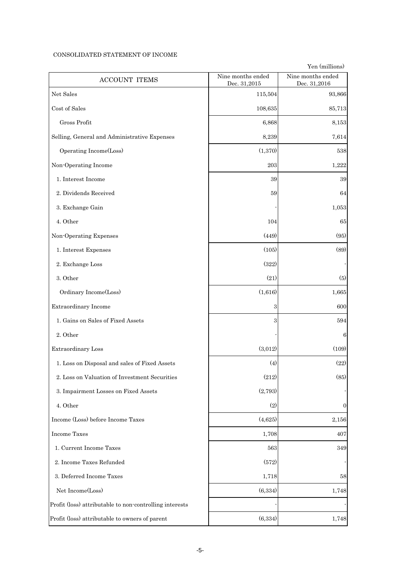#### CONSOLIDATED STATEMENT OF INCOME

| <b>ACCOUNT ITEMS</b>                                    | Nine months ended<br>Dec. 31,2015 | Nine months ended<br>Dec. 31,2016 |
|---------------------------------------------------------|-----------------------------------|-----------------------------------|
| Net Sales                                               | 115,504                           | 93,866                            |
| Cost of Sales                                           | 108,635                           | 85,713                            |
| Gross Profit                                            | 6,868                             | 8,153                             |
| Selling, General and Administrative Expenses            | 8,239                             | 7,614                             |
| Operating Income(Loss)                                  | (1, 370)                          | 538                               |
| Non-Operating Income                                    | 203                               | 1,222                             |
| 1. Interest Income                                      | 39                                | 39                                |
| 2. Dividends Received                                   | 59                                | 64                                |
| 3. Exchange Gain                                        |                                   | 1,053                             |
| 4. Other                                                | 104                               | 65                                |
| Non-Operating Expenses                                  | (449)                             | (95)                              |
| 1. Interest Expenses                                    | (105)                             | (89)                              |
| 2. Exchange Loss                                        | (322)                             |                                   |
| 3. Other                                                | (21)                              | (5)                               |
| Ordinary Income(Loss)                                   | (1,616)                           | $1,\!665$                         |
| Extraordinary Income                                    | 3                                 | 600                               |
| 1. Gains on Sales of Fixed Assets                       | 3                                 | 594                               |
| 2. Other                                                |                                   | 6                                 |
| Extraordinary Loss                                      | (3,012)                           | (109)                             |
| 1. Loss on Disposal and sales of Fixed Assets           | (4)                               | (22)                              |
| 2. Loss on Valuation of Investment Securities           | (212)                             | (85)                              |
| 3. Impairment Losses on Fixed Assets                    | (2,793)                           |                                   |
| 4. Other                                                | (2)                               | $\overline{0}$                    |
| Income (Loss) before Income Taxes                       | (4,625)                           | 2,156                             |
| <b>Income Taxes</b>                                     | 1,708                             | 407                               |
| 1. Current Income Taxes                                 | $563\,$                           | 349                               |
| 2. Income Taxes Refunded                                | (572)                             |                                   |
| 3. Deferred Income Taxes                                | 1,718                             | 58                                |
| Net Income(Loss)                                        | (6, 334)                          | 1,748                             |
| Profit (loss) attributable to non-controlling interests |                                   |                                   |
| Profit (loss) attributable to owners of parent          | (6, 334)                          | 1,748                             |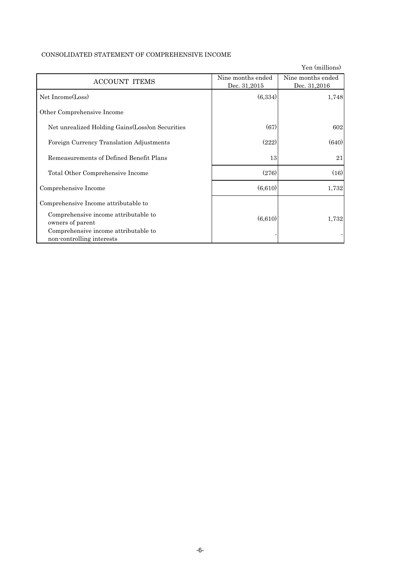|                                                                   |                                   | Yen (millions)                    |
|-------------------------------------------------------------------|-----------------------------------|-----------------------------------|
| <b>ACCOUNT ITEMS</b>                                              | Nine months ended<br>Dec. 31,2015 | Nine months ended<br>Dec. 31,2016 |
| Net Income(Loss)                                                  | (6,334)                           | 1,748                             |
| Other Comprehensive Income                                        |                                   |                                   |
| Net unrealized Holding Gains (Loss) on Securities                 | (67)                              | 602                               |
| Foreign Currency Translation Adjustments                          | (222)                             | (640)                             |
| Remeasurements of Defined Benefit Plans                           | 13                                | 21                                |
| Total Other Comprehensive Income                                  | (276)                             | (16)                              |
| Comprehensive Income                                              | (6,610)                           | 1,732                             |
| Comprehensive Income attributable to                              |                                   |                                   |
| Comprehensive income attributable to<br>owners of parent          | (6,610)                           | 1,732                             |
| Comprehensive income attributable to<br>non-controlling interests |                                   |                                   |

# CONSOLIDATED STATEMENT OF COMPREHENSIVE INCOME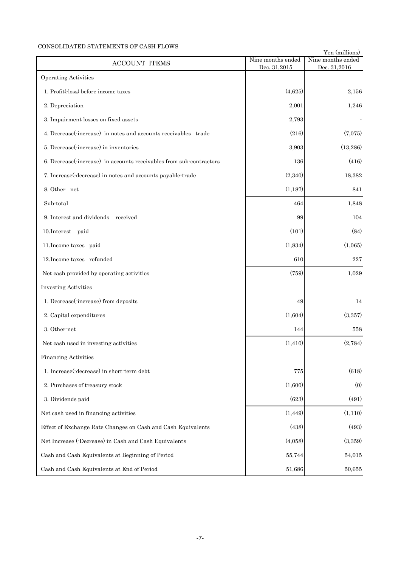# CONSOLIDATED STATEMENTS OF CASH FLOWS

| CONSOLIDATED STATEMENTS<br><b>ACCOUNT ITEMS</b>                     | Nine months ended | Yen (millions)<br>Nine months ended |  |
|---------------------------------------------------------------------|-------------------|-------------------------------------|--|
| <b>Operating Activities</b>                                         | Dec. 31,2015      | Dec. 31,2016                        |  |
|                                                                     |                   |                                     |  |
| 1. Profit(loss) before income taxes                                 | (4,625)           | 2,156                               |  |
| 2. Depreciation                                                     | 2,001             | 1,246                               |  |
| 3. Impairment losses on fixed assets                                | 2,793             |                                     |  |
| 4. Decrease(-increase) in notes and accounts receivables -trade     | (216)             | (7,075)                             |  |
| 5. Decrease(-increase) in inventories                               | 3,903             | (13, 286)                           |  |
| 6. Decrease (increase) in accounts receivables from sub-contractors | 136               | (416)                               |  |
| 7. Increase(-decrease) in notes and accounts payable-trade          | (2,340)           | 18,382                              |  |
| 8. Other-net                                                        | (1, 187)          | 841                                 |  |
| Sub-total                                                           | 464               | 1,848                               |  |
| 9. Interest and dividends – received                                | 99                | 104                                 |  |
| $10.$ Interest – paid                                               | (101)             | (84)                                |  |
| 11. Income taxes-paid                                               | (1,834)           | (1,065)                             |  |
| 12. Income taxes-refunded                                           | 610               | 227                                 |  |
| Net cash provided by operating activities                           | (759)             | 1,029                               |  |
| <b>Investing Activities</b>                                         |                   |                                     |  |
| 1. Decrease(-increase) from deposits                                | 49                | 14                                  |  |
| 2. Capital expenditures                                             | (1,604)           | (3,357)                             |  |
| 3. Other-net                                                        | 144               | 558                                 |  |
| Net cash used in investing activities                               | (1, 410)          | (2,784)                             |  |
| <b>Financing Activities</b>                                         |                   |                                     |  |
| 1. Increase(-decrease) in short-term debt                           | 775               | (618)                               |  |
| 2. Purchases of treasury stock                                      | (1,600)           | (0)                                 |  |
| 3. Dividends paid                                                   | (623)             | (491)                               |  |
| Net cash used in financing activities                               | (1, 449)          | (1,110)                             |  |
| Effect of Exchange Rate Changes on Cash and Cash Equivalents        | (438)             | (493)                               |  |
| Net Increase (-Decrease) in Cash and Cash Equivalents               | (4,058)           | (3,359)                             |  |
| Cash and Cash Equivalents at Beginning of Period                    | 55,744            | 54,015                              |  |
| Cash and Cash Equivalents at End of Period                          | 51,686            | 50,655                              |  |